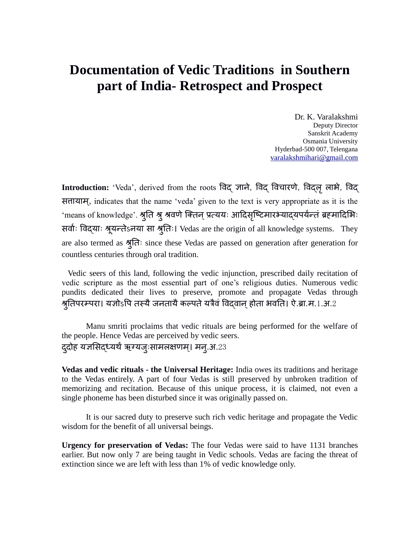# **Documentation of Vedic Traditions in Southern part of India- Retrospect and Prospect**

Dr. K. Varalakshmi Deputy Director Sanskrit Academy Osmania University Hyderbad-500 007, Telengana [varalakshmihari@gmail.com](mailto:varalakshmihari@gmail.com)

Introduction: 'Veda', derived from the roots विद् ज्ञाने, विद् विचारणे, विद्लृ लाभे, विद् सत्तायाम्, indicates that the name 'veda' given to the text is very appropriate as it is the 'means of knowledge'. श्रुति श्रु श्रवणे क्तिन् प्रत्ययः आदिसृष्टिमारभ्याद्यपर्यन्तं ब्रहमादिभिः सर्वाः विद्याः श्रूयन्तेऽनया सा श्रुतिः। Vedas are the origin of all knowledge systems. They are also termed as श्रतुिः since these Vedas are passed on generation after generation for countless centuries through oral tradition.

 Vedic seers of this land, following the vedic injunction, prescribed daily recitation of vedic scripture as the most essential part of one's religious duties. Numerous vedic pundits dedicated their lives to preserve, promote and propagate Vedas through श्रुतिपरम्परा। यज्ञोऽपि तस्यै जनतायै कल्पते यत्रैवं विद्वान् होता भवति। ऐ.ब्रा.म.1.अ.2

Manu smriti proclaims that vedic rituals are being performed for the welfare of the people. Hence Vedas are perceived by vedic seers. द्दोह यज्ञसिद्ध्यर्थं ऋग्यजुःसामलक्षणम्। मन्.अ.23

**Vedas and vedic rituals - the Universal Heritage:** India owes its traditions and heritage to the Vedas entirely. A part of four Vedas is still preserved by unbroken tradition of memorizing and recitation. Because of this unique process, it is claimed, not even a single phoneme has been disturbed since it was originally passed on.

It is our sacred duty to preserve such rich vedic heritage and propagate the Vedic wisdom for the benefit of all universal beings.

**Urgency for preservation of Vedas:** The four Vedas were said to have 1131 branches earlier. But now only 7 are being taught in Vedic schools. Vedas are facing the threat of extinction since we are left with less than 1% of vedic knowledge only.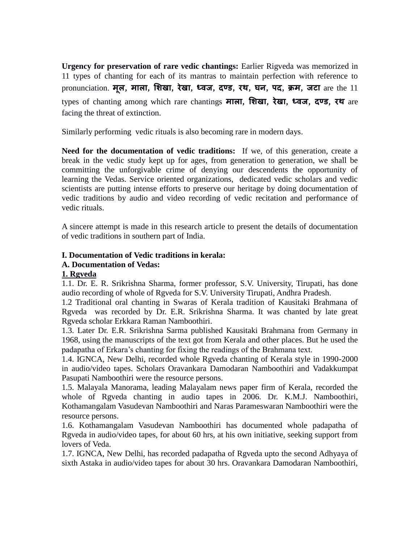**Urgency for preservation of rare vedic chantings:** Earlier Rigveda was memorized in 11 types of chanting for each of its mantras to maintain perfection with reference to pronunciation. **मूल**, **माला**, **शिखा**, **रेखा**, **ध्वज**, **दण्ड**, **रथ**, **घन**, **पद**, **क्रम**, **जटा** are the 11 types of chanting among which rare chantings **माला**, **शिखा**, **रेखा**, **ध्वज**, **दण्ड**, **रथ** are facing the threat of extinction.

Similarly performing vedic rituals is also becoming rare in modern days.

**Need for the documentation of vedic traditions:** If we, of this generation, create a break in the vedic study kept up for ages, from generation to generation, we shall be committing the unforgivable crime of denying our descendents the opportunity of learning the Vedas. Service oriented organizations, dedicated vedic scholars and vedic scientists are putting intense efforts to preserve our heritage by doing documentation of vedic traditions by audio and video recording of vedic recitation and performance of vedic rituals.

A sincere attempt is made in this research article to present the details of documentation of vedic traditions in southern part of India.

### **I. Documentation of Vedic traditions in kerala:**

### **A. Documentation of Vedas:**

#### **1. Rgveda**

1.1. Dr. E. R. Srikrishna Sharma, former professor, S.V. University, Tirupati, has done audio recording of whole of Rgveda for S.V. University Tirupati, Andhra Pradesh.

1.2 Traditional oral chanting in Swaras of Kerala tradition of Kausitaki Brahmana of Rgveda was recorded by Dr. E.R. Srikrishna Sharma. It was chanted by late great Rgveda scholar Erkkara Raman Namboothiri.

1.3. Later Dr. E.R. Srikrishna Sarma published Kausitaki Brahmana from Germany in 1968, using the manuscripts of the text got from Kerala and other places. But he used the padapatha of Erkara's chanting for fixing the readings of the Brahmana text.

1.4. IGNCA, New Delhi, recorded whole Rgveda chanting of Kerala style in 1990-2000 in audio/video tapes. Scholars Oravankara Damodaran Namboothiri and Vadakkumpat Pasupati Namboothiri were the resource persons.

1.5. Malayala Manorama, leading Malayalam news paper firm of Kerala, recorded the whole of Rgveda chanting in audio tapes in 2006. Dr. K.M.J. Namboothiri, Kothamangalam Vasudevan Namboothiri and Naras Parameswaran Namboothiri were the resource persons.

1.6. Kothamangalam Vasudevan Namboothiri has documented whole padapatha of Rgveda in audio/video tapes, for about 60 hrs, at his own initiative, seeking support from lovers of Veda.

1.7. IGNCA, New Delhi, has recorded padapatha of Rgveda upto the second Adhyaya of sixth Astaka in audio/video tapes for about 30 hrs. Oravankara Damodaran Namboothiri,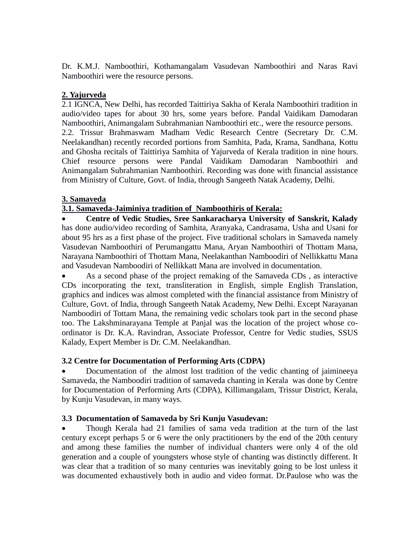Dr. K.M.J. Namboothiri, Kothamangalam Vasudevan Namboothiri and Naras Ravi Namboothiri were the resource persons.

# **2. Yajurveda**

2.1 IGNCA, New Delhi, has recorded Taittiriya Sakha of Kerala Namboothiri tradition in audio/video tapes for about 30 hrs, some years before. Pandal Vaidikam Damodaran Namboothiri, Animangalam Subrahmanian Namboothiri etc., were the resource persons. 2.2. Trissur Brahmaswam Madham Vedic Research Centre (Secretary Dr. C.M. Neelakandhan) recently recorded portions from Samhita, Pada, Krama, Sandhana, Kottu and Ghosha recitals of Taittiriya Samhita of Yajurveda of Kerala tradition in nine hours. Chief resource persons were Pandal Vaidikam Damodaran Namboothiri and Animangalam Subrahmanian Namboothiri. Recording was done with financial assistance from Ministry of Culture, Govt. of India, through Sangeeth Natak Academy, Delhi.

### **3. Samaveda**

### **3.1. Samaveda-Jaiminiya tradition of Namboothiris of Kerala:**

 **Centre of Vedic Studies, Sree Sankaracharya University of Sanskrit, Kalady** has done audio/video recording of Samhita, Aranyaka, Candrasama, Usha and Usani for about 95 hrs as a first phase of the project. Five traditional scholars in Samaveda namely Vasudevan Namboothiri of Perumangattu Mana, Aryan Namboothiri of Thottam Mana, Narayana Namboothiri of Thottam Mana, Neelakanthan Namboodiri of Nellikkattu Mana and Vasudevan Namboodiri of Nellikkatt Mana are involved in documentation.

 As a second phase of the project remaking of the Samaveda CDs , as interactive CDs incorporating the text, transliteration in English, simple English Translation, graphics and indices was almost completed with the financial assistance from Ministry of Culture, Govt. of India, through Sangeeth Natak Academy, New Delhi. Except Narayanan Namboodiri of Tottam Mana, the remaining vedic scholars took part in the second phase too. The Lakshminarayana Temple at Panjal was the location of the project whose coordinator is Dr. K.A. Ravindran, Associate Professor, Centre for Vedic studies, SSUS Kalady, Expert Member is Dr. C.M. Neelakandhan.

### **3.2 Centre for Documentation of Performing Arts (CDPA)**

 Documentation of the almost lost tradition of the vedic chanting of jaimineeya Samaveda, the Namboodiri tradition of samaveda chanting in Kerala was done by Centre for Documentation of Performing Arts (CDPA), Killimangalam, Trissur District, Kerala, by Kunju Vasudevan, in many ways.

### **3.3 Documentation of Samaveda by Sri Kunju Vasudevan:**

 Though Kerala had 21 families of sama veda tradition at the turn of the last century except perhaps 5 or 6 were the only practitioners by the end of the 20th century and among these families the number of individual chanters were only 4 of the old generation and a couple of youngsters whose style of chanting was distinctly different. It was clear that a tradition of so many centuries was inevitably going to be lost unless it was documented exhaustively both in audio and video format. Dr.Paulose who was the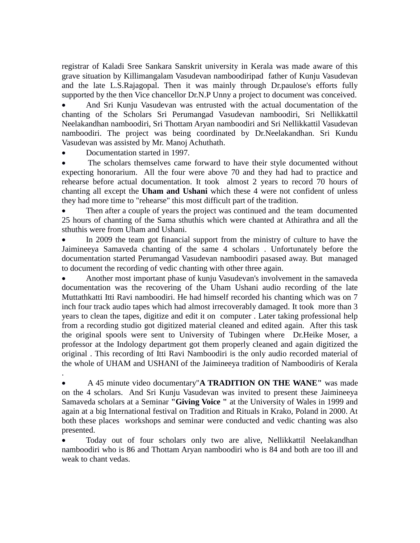registrar of Kaladi Sree Sankara Sanskrit university in Kerala was made aware of this grave situation by Killimangalam Vasudevan namboodiripad father of Kunju Vasudevan and the late L.S.Rajagopal. Then it was mainly through Dr.paulose's efforts fully supported by the then Vice chancellor Dr.N.P Unny a project to document was conceived.

 And Sri Kunju Vasudevan was entrusted with the actual documentation of the chanting of the Scholars Sri Perumangad Vasudevan namboodiri, Sri Nellikkattil Neelakandhan namboodiri, Sri Thottam Aryan namboodiri and Sri Nellikkattil Vasudevan namboodiri. The project was being coordinated by Dr.Neelakandhan. Sri Kundu Vasudevan was assisted by Mr. Manoj Achuthath.

Documentation started in 1997.

.

 The scholars themselves came forward to have their style documented without expecting honorarium. All the four were above 70 and they had had to practice and rehearse before actual documentation. It took almost 2 years to record 70 hours of chanting all except the **Uham and Ushani** which these 4 were not confident of unless they had more time to "rehearse" this most difficult part of the tradition.

 Then after a couple of years the project was continued and the team documented 25 hours of chanting of the Sama sthuthis which were chanted at Athirathra and all the sthuthis were from Uham and Ushani.

 In 2009 the team got financial support from the ministry of culture to have the Jaimineeya Samaveda chanting of the same 4 scholars . Unfortunately before the documentation started Perumangad Vasudevan namboodiri pasased away. But managed to document the recording of vedic chanting with other three again.

 Another most important phase of kunju Vasudevan's involvement in the samaveda documentation was the recovering of the Uham Ushani audio recording of the late Muttathkatti Itti Ravi namboodiri. He had himself recorded his chanting which was on 7 inch four track audio tapes which had almost irrecoverably damaged. It took more than 3 years to clean the tapes, digitize and edit it on computer . Later taking professional help from a recording studio got digitized material cleaned and edited again. After this task the original spools were sent to University of Tubingen where Dr.Heike Moser, a professor at the Indology department got them properly cleaned and again digitized the original . This recording of Itti Ravi Namboodiri is the only audio recorded material of the whole of UHAM and USHANI of the Jaimineeya tradition of Namboodiris of Kerala

 A 45 minute video documentary"**A TRADITION ON THE WANE"** was made on the 4 scholars. And Sri Kunju Vasudevan was invited to present these Jaimineeya Samaveda scholars at a Seminar **"Giving Voice "** at the University of Wales in 1999 and again at a big International festival on Tradition and Rituals in Krako, Poland in 2000. At both these places workshops and seminar were conducted and vedic chanting was also presented.

 Today out of four scholars only two are alive, Nellikkattil Neelakandhan namboodiri who is 86 and Thottam Aryan namboodiri who is 84 and both are too ill and weak to chant vedas.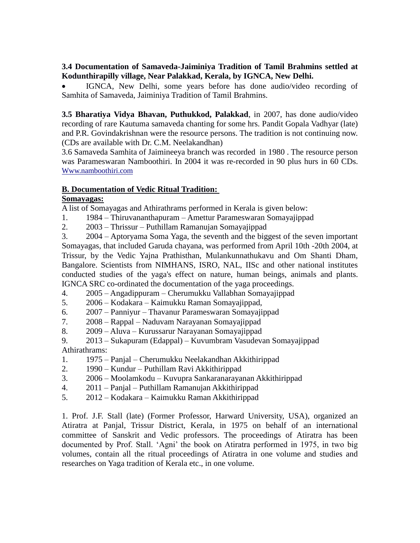### **3.4 Documentation of Samaveda-Jaiminiya Tradition of Tamil Brahmins settled at Kodunthirapilly village, Near Palakkad, Kerala, by IGNCA, New Delhi.**

 IGNCA, New Delhi, some years before has done audio/video recording of Samhita of Samaveda, Jaiminiya Tradition of Tamil Brahmins.

**3.5 Bharatiya Vidya Bhavan, Puthukkod, Palakkad**, in 2007, has done audio/video recording of rare Kautuma samaveda chanting for some hrs. Pandit Gopala Vadhyar (late) and P.R. Govindakrishnan were the resource persons. The tradition is not continuing now. (CDs are available with Dr. C.M. Neelakandhan)

3.6 Samaveda Samhita of Jaimineeya branch was recorded in 1980 . The resource person was Parameswaran Namboothiri. In 2004 it was re-recorded in 90 plus hurs in 60 CDs. [Www.namboothiri.com](http://www.namboothiri.com/)

### **B. Documentation of Vedic Ritual Tradition:**

#### **Somayagas:**

A list of Somayagas and Athirathrams performed in Kerala is given below:

- 1. 1984 Thiruvananthapuram Amettur Parameswaran Somayajippad
- 2. 2003 Thrissur Puthillam Ramanujan Somayajippad

3. 2004 – Aptoryama Soma Yaga, the seventh and the biggest of the seven important Somayagas, that included Garuda chayana, was performed from April 10th -20th 2004, at Trissur, by the Vedic Yajna Prathisthan, Mulankunnathukavu and Om Shanti Dham, Bangalore. Scientists from NIMHANS, ISRO, NAL, IISc and other national institutes conducted studies of the yaga's effect on nature, human beings, animals and plants. IGNCA SRC co-ordinated the documentation of the yaga proceedings.

- 4. 2005 Angadippuram Cherumukku Vallabhan Somayajippad
- 5. 2006 Kodakara Kaimukku Raman Somayajippad,
- 6. 2007 Panniyur Thavanur Parameswaran Somayajippad
- 7. 2008 Rappal Naduvam Narayanan Somayajippad
- 8. 2009 Aluva Kurussarur Narayanan Somayajippad
- 9. 2013 Sukapuram (Edappal) Kuvumbram Vasudevan Somayajippad Athirathrams:
- 1. 1975 Panjal Cherumukku Neelakandhan Akkithirippad
- 2. 1990 Kundur Puthillam Ravi Akkithirippad
- 3. 2006 Moolamkodu Kuvupra Sankaranarayanan Akkithirippad
- 4. 2011 Panjal Puthillam Ramanujan Akkithirippad
- 5. 2012 Kodakara Kaimukku Raman Akkithirippad

1. Prof. J.F. Stall (late) (Former Professor, Harward University, USA), organized an Atiratra at Panjal, Trissur District, Kerala, in 1975 on behalf of an international committee of Sanskrit and Vedic professors. The proceedings of Atiratra has been documented by Prof. Stall. 'Agni' the book on Atiratra performed in 1975, in two big volumes, contain all the ritual proceedings of Atiratra in one volume and studies and researches on Yaga tradition of Kerala etc., in one volume.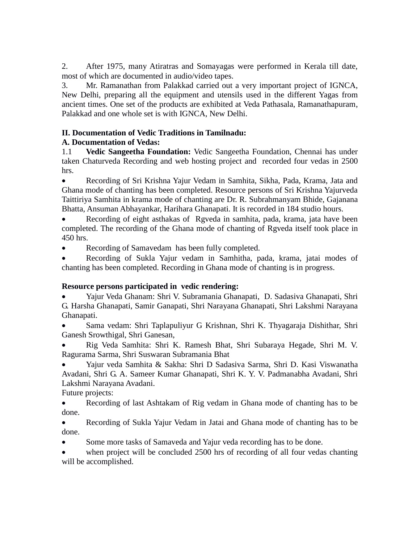2. After 1975, many Atiratras and Somayagas were performed in Kerala till date, most of which are documented in audio/video tapes.

3. Mr. Ramanathan from Palakkad carried out a very important project of IGNCA, New Delhi, preparing all the equipment and utensils used in the different Yagas from ancient times. One set of the products are exhibited at Veda Pathasala, Ramanathapuram, Palakkad and one whole set is with IGNCA, New Delhi.

# **II. Documentation of Vedic Traditions in Tamilnadu:**

# **A. Documentation of Vedas:**

1.1 **Vedic Sangeetha Foundation:** Vedic Sangeetha Foundation, Chennai has under taken Chaturveda Recording and web hosting project and recorded four vedas in 2500 hrs.

 Recording of Sri Krishna Yajur Vedam in Samhita, Sikha, Pada, Krama, Jata and Ghana mode of chanting has been completed. Resource persons of Sri Krishna Yajurveda Taittiriya Samhita in krama mode of chanting are Dr. R. Subrahmanyam Bhide, Gajanana Bhatta, Ansuman Abhayankar, Harihara Ghanapati. It is recorded in 184 studio hours.

 Recording of eight asthakas of Rgveda in samhita, pada, krama, jata have been completed. The recording of the Ghana mode of chanting of Rgveda itself took place in 450 hrs.

Recording of Samavedam has been fully completed.

 Recording of Sukla Yajur vedam in Samhitha, pada, krama, jatai modes of chanting has been completed. Recording in Ghana mode of chanting is in progress.

### **Resource persons participated in vedic rendering:**

 Yajur Veda Ghanam: Shri V. Subramania Ghanapati, D. Sadasiva Ghanapati, Shri G. Harsha Ghanapati, Samir Ganapati, Shri Narayana Ghanapati, Shri Lakshmi Narayana Ghanapati.

 Sama vedam: Shri Taplapuliyur G Krishnan, Shri K. Thyagaraja Dishithar, Shri Ganesh Srowthigal, Shri Ganesan,

 Rig Veda Samhita: Shri K. Ramesh Bhat, Shri Subaraya Hegade, Shri M. V. Ragurama Sarma, Shri Suswaran Subramania Bhat

 Yajur veda Samhita & Sakha: Shri D Sadasiva Sarma, Shri D. Kasi Viswanatha Avadani, Shri G. A. Sameer Kumar Ghanapati, Shri K. Y. V. Padmanabha Avadani, Shri Lakshmi Narayana Avadani.

Future projects:

• Recording of last Ashtakam of Rig vedam in Ghana mode of chanting has to be done.

 Recording of Sukla Yajur Vedam in Jatai and Ghana mode of chanting has to be done.

Some more tasks of Samaveda and Yajur veda recording has to be done.

 when project will be concluded 2500 hrs of recording of all four vedas chanting will be accomplished.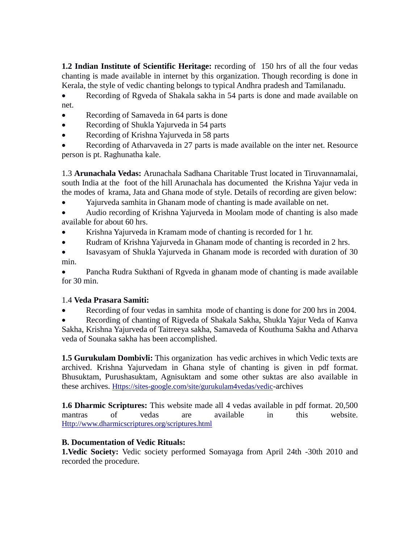**1.2 Indian Institute of Scientific Heritage:** recording of 150 hrs of all the four vedas chanting is made available in internet by this organization. Though recording is done in Kerala, the style of vedic chanting belongs to typical Andhra pradesh and Tamilanadu.

 Recording of Rgveda of Shakala sakha in 54 parts is done and made available on net.

- Recording of Samaveda in 64 parts is done
- Recording of Shukla Yajurveda in 54 parts
- Recording of Krishna Yajurveda in 58 parts
- Recording of Atharvaveda in 27 parts is made available on the inter net. Resource person is pt. Raghunatha kale.

1.3 **Arunachala Vedas:** Arunachala Sadhana Charitable Trust located in Tiruvannamalai, south India at the foot of the hill Arunachala has documented the Krishna Yajur veda in the modes of krama, Jata and Ghana mode of style. Details of recording are given below:

Yajurveda samhita in Ghanam mode of chanting is made available on net.

 Audio recording of Krishna Yajurveda in Moolam mode of chanting is also made available for about 60 hrs.

- Krishna Yajurveda in Kramam mode of chanting is recorded for 1 hr.
- Rudram of Krishna Yajurveda in Ghanam mode of chanting is recorded in 2 hrs.
- Isavasyam of Shukla Yajurveda in Ghanam mode is recorded with duration of 30 min.

 Pancha Rudra Sukthani of Rgveda in ghanam mode of chanting is made available for 30 min.

# 1.4 **Veda Prasara Samiti:**

Recording of four vedas in samhita mode of chanting is done for 200 hrs in 2004.

 Recording of chanting of Rigveda of Shakala Sakha, Shukla Yajur Veda of Kanva Sakha, Krishna Yajurveda of Taitreeya sakha, Samaveda of Kouthuma Sakha and Atharva veda of Sounaka sakha has been accomplished.

**1.5 Gurukulam Dombivli:** This organization has vedic archives in which Vedic texts are archived. Krishna Yajurvedam in Ghana style of chanting is given in pdf format. Bhusuktam, Purushasuktam, Agnisuktam and some other suktas are also available in these archives. [Https://sites-google.com/site/gurukulam4vedas/vedic](https://sites-google.com/site/gurukulam4vedas/vedic)-archives

**1.6 Dharmic Scriptures:** This website made all 4 vedas available in pdf format. 20,500 mantras of vedas are available in this website. [Http://www.dharmicscriptures.org/scriptures.html](http://www.dharmicscriptures.org/scriptures.html)

# **B. Documentation of Vedic Rituals:**

**1.Vedic Society:** Vedic society performed Somayaga from April 24th -30th 2010 and recorded the procedure.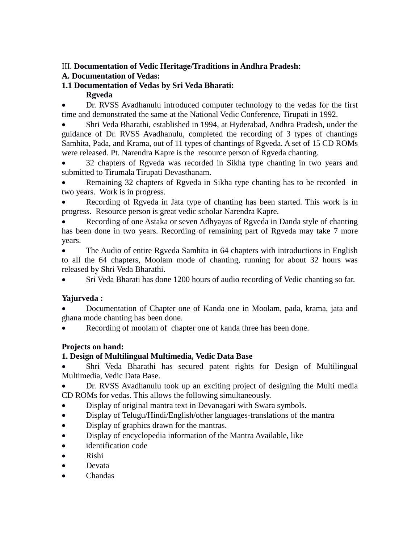# III. **Documentation of Vedic Heritage/Traditions in Andhra Pradesh:**

# **A. Documentation of Vedas:**

# **1.1 Documentation of Vedas by Sri Veda Bharati:**

### **Rgveda**

 Dr. RVSS Avadhanulu introduced computer technology to the vedas for the first time and demonstrated the same at the National Vedic Conference, Tirupati in 1992.

 Shri Veda Bharathi, established in 1994, at Hyderabad, Andhra Pradesh, under the guidance of Dr. RVSS Avadhanulu, completed the recording of 3 types of chantings Samhita, Pada, and Krama, out of 11 types of chantings of Rgveda. A set of 15 CD ROMs were released. Pt. Narendra Kapre is the resource person of Rgveda chanting.

 32 chapters of Rgveda was recorded in Sikha type chanting in two years and submitted to Tirumala Tirupati Devasthanam.

 Remaining 32 chapters of Rgveda in Sikha type chanting has to be recorded in two years. Work is in progress.

 Recording of Rgveda in Jata type of chanting has been started. This work is in progress. Resource person is great vedic scholar Narendra Kapre.

 Recording of one Astaka or seven Adhyayas of Rgveda in Danda style of chanting has been done in two years. Recording of remaining part of Rgveda may take 7 more years.

• The Audio of entire Rgveda Samhita in 64 chapters with introductions in English to all the 64 chapters, Moolam mode of chanting, running for about 32 hours was released by Shri Veda Bharathi.

Sri Veda Bharati has done 1200 hours of audio recording of Vedic chanting so far.

# **Yajurveda :**

 Documentation of Chapter one of Kanda one in Moolam, pada, krama, jata and ghana mode chanting has been done.

Recording of moolam of chapter one of kanda three has been done.

# **Projects on hand:**

# **1. Design of Multilingual Multimedia, Vedic Data Base**

 Shri Veda Bharathi has secured patent rights for Design of Multilingual Multimedia, Vedic Data Base.

 Dr. RVSS Avadhanulu took up an exciting project of designing the Multi media CD ROMs for vedas. This allows the following simultaneously.

- Display of original mantra text in Devanagari with Swara symbols.
- Display of Telugu/Hindi/English/other languages-translations of the mantra
- Display of graphics drawn for the mantras.
- Display of encyclopedia information of the Mantra Available, like
- identification code
- Rishi
- Devata
- Chandas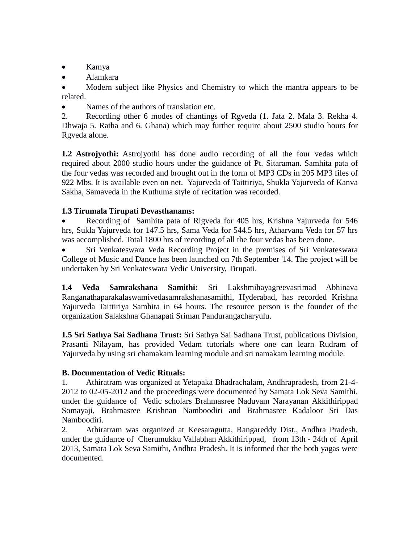- Kamya
- Alamkara

 Modern subject like Physics and Chemistry to which the mantra appears to be related.

Names of the authors of translation etc.

2. Recording other 6 modes of chantings of Rgveda (1. Jata 2. Mala 3. Rekha 4. Dhwaja 5. Ratha and 6. Ghana) which may further require about 2500 studio hours for Rgveda alone.

**1.2 Astrojyothi:** Astrojyothi has done audio recording of all the four vedas which required about 2000 studio hours under the guidance of Pt. Sitaraman. Samhita pata of the four vedas was recorded and brought out in the form of MP3 CDs in 205 MP3 files of 922 Mbs. It is available even on net. Yajurveda of Taittiriya, Shukla Yajurveda of Kanva Sakha, Samaveda in the Kuthuma style of recitation was recorded.

### **1.3 Tirumala Tirupati Devasthanams:**

 Recording of Samhita pata of Rigveda for 405 hrs, Krishna Yajurveda for 546 hrs, Sukla Yajurveda for 147.5 hrs, Sama Veda for 544.5 hrs, Atharvana Veda for 57 hrs was accomplished. Total 1800 hrs of recording of all the four vedas has been done.

 Sri Venkateswara Veda Recording Project in the premises of Sri Venkateswara College of Music and Dance has been launched on 7th September '14. The project will be undertaken by Sri Venkateswara Vedic University, Tirupati.

**1.4 Veda Samrakshana Samithi:** Sri Lakshmihayagreevasrimad Abhinava Ranganathaparakalaswamivedasamrakshanasamithi, Hyderabad, has recorded Krishna Yajurveda Taittiriya Samhita in 64 hours. The resource person is the founder of the organization Salakshna Ghanapati Sriman Pandurangacharyulu.

**1.5 Sri Sathya Sai Sadhana Trust:** Sri Sathya Sai Sadhana Trust, publications Division, Prasanti Nilayam, has provided Vedam tutorials where one can learn Rudram of Yajurveda by using sri chamakam learning module and sri namakam learning module.

#### **B. Documentation of Vedic Rituals:**

1. Athiratram was organized at Yetapaka Bhadrachalam, Andhrapradesh, from 21-4- 2012 to 02-05-2012 and the proceedings were documented by Samata Lok Seva Samithi, under the guidance of Vedic scholars Brahmasree Naduvam Narayanan Akkithirippad Somayaji, Brahmasree Krishnan Namboodiri and Brahmasree Kadaloor Sri Das Namboodiri.

2. Athiratram was organized at Keesaragutta, Rangareddy Dist., Andhra Pradesh, under the guidance of Cherumukku Vallabhan Akkithirippad, from 13th - 24th of April 2013, Samata Lok Seva Samithi, Andhra Pradesh. It is informed that the both yagas were documented.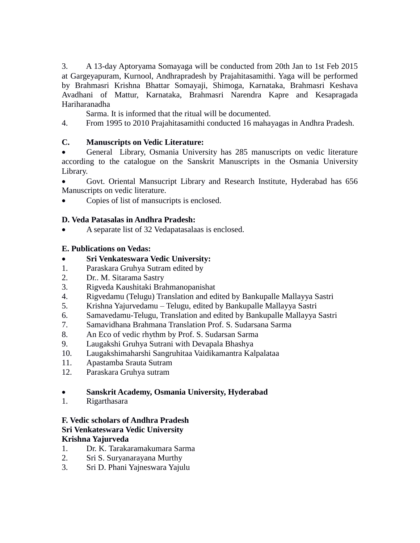3. A 13-day Aptoryama Somayaga will be conducted from 20th Jan to 1st Feb 2015 at Gargeyapuram, Kurnool, Andhrapradesh by Prajahitasamithi. Yaga will be performed by Brahmasri Krishna Bhattar Somayaji, Shimoga, Karnataka, Brahmasri Keshava Avadhani of Mattur, Karnataka, Brahmasri Narendra Kapre and Kesapragada Hariharanadha

Sarma. It is informed that the ritual will be documented.

4. From 1995 to 2010 Prajahitasamithi conducted 16 mahayagas in Andhra Pradesh.

### **C. Manuscripts on Vedic Literature:**

 General Library, Osmania University has 285 manuscripts on vedic literature according to the catalogue on the Sanskrit Manuscripts in the Osmania University Library.

 Govt. Oriental Mansucript Library and Research Institute, Hyderabad has 656 Manuscripts on vedic literature.

Copies of list of mansucripts is enclosed.

### **D. Veda Patasalas in Andhra Pradesh:**

A separate list of 32 Vedapatasalaas is enclosed.

### **E. Publications on Vedas:**

- **Sri Venkateswara Vedic University:**
- 1. Paraskara Gruhya Sutram edited by
- 2. Dr.. M. Sitarama Sastry
- 3. Rigveda Kaushitaki Brahmanopanishat
- 4. Rigvedamu (Telugu) Translation and edited by Bankupalle Mallayya Sastri
- 5. Krishna Yajurvedamu Telugu, edited by Bankupalle Mallayya Sastri
- 6. Samavedamu-Telugu, Translation and edited by Bankupalle Mallayya Sastri
- 7. Samavidhana Brahmana Translation Prof. S. Sudarsana Sarma
- 8. An Eco of vedic rhythm by Prof. S. Sudarsan Sarma
- 9. Laugakshi Gruhya Sutrani with Devapala Bhashya
- 10. Laugakshimaharshi Sangruhitaa Vaidikamantra Kalpalataa
- 11. Apastamba Srauta Sutram
- 12. Paraskara Gruhya sutram

#### **Sanskrit Academy, Osmania University, Hyderabad**

1. Rigarthasara

#### **F. Vedic scholars of Andhra Pradesh Sri Venkateswara Vedic University Krishna Yajurveda**

- 1. Dr. K. Tarakaramakumara Sarma
- 2. Sri S. Suryanarayana Murthy
- 3. Sri D. Phani Yajneswara Yajulu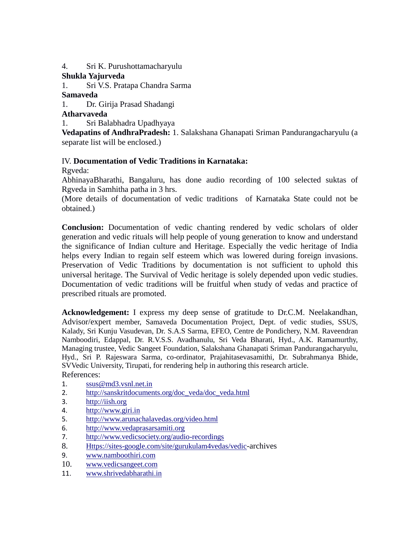4. Sri K. Purushottamacharyulu

### **Shukla Yajurveda**

1. Sri V.S. Pratapa Chandra Sarma

### **Samaveda**

1. Dr. Girija Prasad Shadangi

### **Atharvaveda**

1. Sri Balabhadra Upadhyaya

**Vedapatins of AndhraPradesh:** 1. Salakshana Ghanapati Sriman Pandurangacharyulu (a separate list will be enclosed.)

# IV. **Documentation of Vedic Traditions in Karnataka:**

Rgveda:

AbhinayaBharathi, Bangaluru, has done audio recording of 100 selected suktas of Rgveda in Samhitha patha in 3 hrs.

(More details of documentation of vedic traditions of Karnataka State could not be obtained.)

**Conclusion:** Documentation of vedic chanting rendered by vedic scholars of older generation and vedic rituals will help people of young generation to know and understand the significance of Indian culture and Heritage. Especially the vedic heritage of India helps every Indian to regain self esteem which was lowered during foreign invasions. Preservation of Vedic Traditions by documentation is not sufficient to uphold this universal heritage. The Survival of Vedic heritage is solely depended upon vedic studies. Documentation of vedic traditions will be fruitful when study of vedas and practice of prescribed rituals are promoted.

**Acknowledgement:** I express my deep sense of gratitude to Dr.C.M. Neelakandhan, Advisor/expert member, Samaveda Documentation Project, Dept. of vedic studies, SSUS, Kalady, Sri Kunju Vasudevan, Dr. S.A.S Sarma, EFEO, Centre de Pondichery, N.M. Raveendran Namboodiri, Edappal, Dr. R.V.S.S. Avadhanulu, Sri Veda Bharati, Hyd., A.K. Ramamurthy, Managing trustee, Vedic Sangeet Foundation, Salakshana Ghanapati Sriman Pandurangacharyulu, Hyd., Sri P. Rajeswara Sarma, co-ordinator, Prajahitasevasamithi, Dr. Subrahmanya Bhide, SVVedic University, Tirupati, for rendering help in authoring this research article.

# References:

- 1. [ssus@md3.vsnl.net.in](http://sanskritdocuments.org/doc_veda/doc_veda.html)
- 2. [http://sanskritdocuments.org/doc\\_veda/doc\\_veda.html](http://sanskritdocuments.org/doc_veda/doc_veda.html)
- 3. [http://iish.org](http://iish.org/)
- 4. [http://www.giri.in](http://www.giri.in/)
- 5. <http://www.arunachalavedas.org/video.html>
- 6. [http://www.vedaprasarsamiti.org](http://www.vedaprasarsamiti.org/)
- 7. <http://www.vedicsociety.org/audio-recordings>
- 8. [Https://sites-google.com/site/gurukulam4vedas/vedic](https://sites-google.com/site/gurukulam4vedas/vedic)-archives
- 9. [www.namboothiri.com](http://www.namboothiri.com/)
- 10. [www.vedicsangeet.com](http://www.vedicsangeet.com/)
- 11. [www.shrivedabharathi.in](http://www.shrivedabharathi.in/)